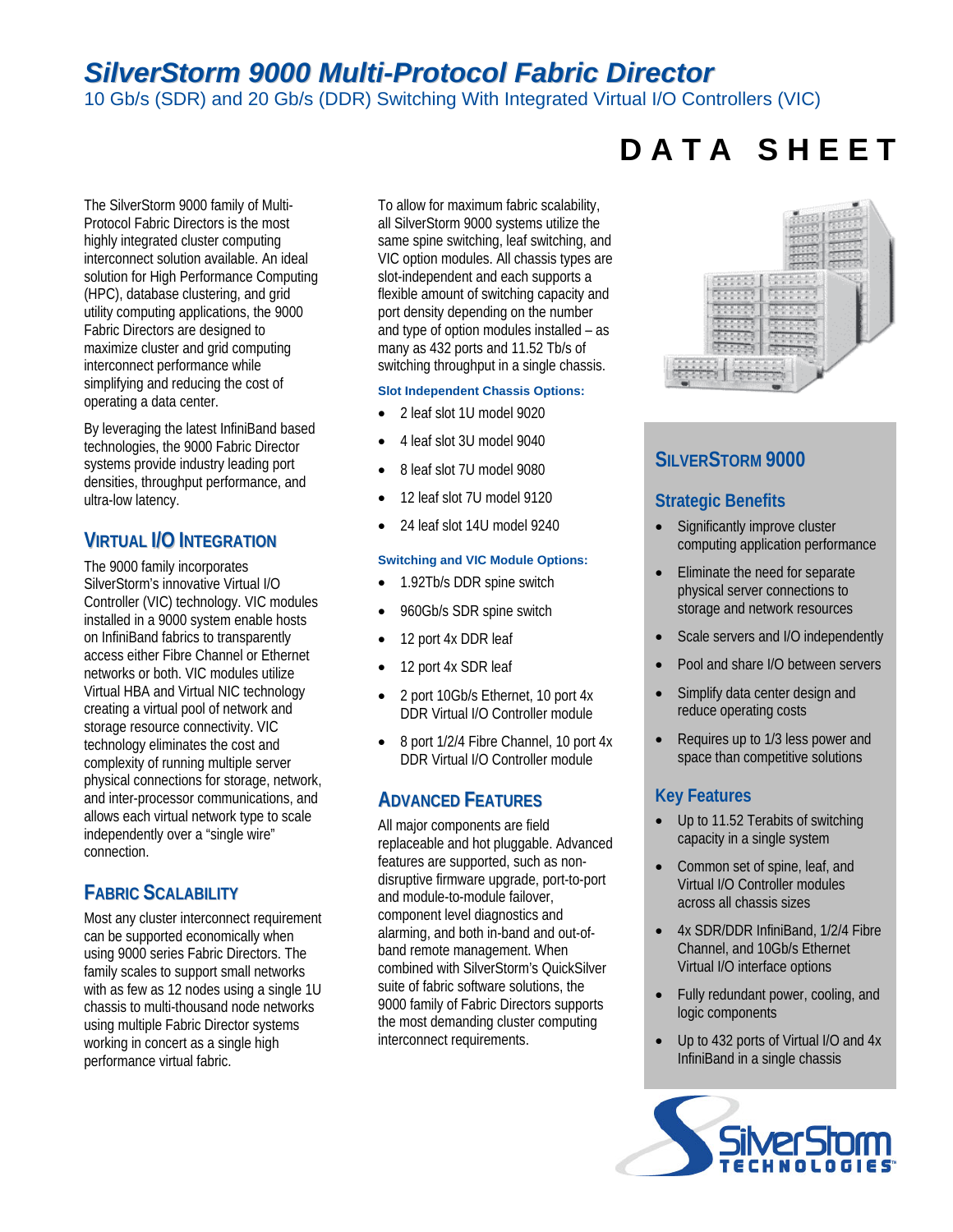# *SilverStorm 9000 Multi-Protocol Fabric Director*

10 Gb/s (SDR) and 20 Gb/s (DDR) Switching With Integrated Virtual I/O Controllers (VIC)

The SilverStorm 9000 family of Multi-Protocol Fabric Directors is the most highly integrated cluster computing interconnect solution available. An ideal solution for High Performance Computing (HPC), database clustering, and grid utility computing applications, the 9000 Fabric Directors are designed to maximize cluster and grid computing interconnect performance while simplifying and reducing the cost of operating a data center.

By leveraging the latest InfiniBand based technologies, the 9000 Fabric Director systems provide industry leading port densities, throughput performance, and ultra-low latency.

## **VIRTUAL I/O INTEGRATION**

The 9000 family incorporates SilverStorm's innovative Virtual I/O Controller (VIC) technology. VIC modules installed in a 9000 system enable hosts on InfiniBand fabrics to transparently access either Fibre Channel or Ethernet networks or both. VIC modules utilize Virtual HBA and Virtual NIC technology creating a virtual pool of network and storage resource connectivity. VIC technology eliminates the cost and complexity of running multiple server physical connections for storage, network, and inter-processor communications, and allows each virtual network type to scale independently over a "single wire" connection.

## **FABRIC SCALABILITY**

Most any cluster interconnect requirement can be supported economically when using 9000 series Fabric Directors. The family scales to support small networks with as few as 12 nodes using a single 1U chassis to multi-thousand node networks using multiple Fabric Director systems working in concert as a single high performance virtual fabric.

To allow for maximum fabric scalability, all SilverStorm 9000 systems utilize the same spine switching, leaf switching, and VIC option modules. All chassis types are slot-independent and each supports a flexible amount of switching capacity and port density depending on the number and type of option modules installed – as many as 432 ports and 11.52 Tb/s of switching throughput in a single chassis.

#### **Slot Independent Chassis Options:**

- 2 leaf slot 1U model 9020
- 4 leaf slot 3U model 9040
- 8 leaf slot 7U model 9080
- 12 leaf slot 7U model 9120
- 24 leaf slot 14U model 9240

#### **Switching and VIC Module Options:**

- 1.92Tb/s DDR spine switch
- 960Gb/s SDR spine switch
- 12 port 4x DDR leaf
- 12 port 4x SDR leaf
- 2 port 10Gb/s Ethernet, 10 port 4x DDR Virtual I/O Controller module
- 8 port 1/2/4 Fibre Channel, 10 port 4x DDR Virtual I/O Controller module

## **ADVANCED FEATURES**

All major components are field replaceable and hot pluggable. Advanced features are supported, such as nondisruptive firmware upgrade, port-to-port and module-to-module failover, component level diagnostics and alarming, and both in-band and out-ofband remote management. When combined with SilverStorm's QuickSilver suite of fabric software solutions, the 9000 family of Fabric Directors supports the most demanding cluster computing interconnect requirements.

# **D A T A S H E E T**



## **SILVERSTORM 9000**

## **Strategic Benefits**

- Significantly improve cluster computing application performance
- Eliminate the need for separate physical server connections to storage and network resources
- Scale servers and I/O independently
- Pool and share I/O between servers
- Simplify data center design and reduce operating costs
- Requires up to 1/3 less power and space than competitive solutions

## **Key Features**

- Up to 11.52 Terabits of switching capacity in a single system
- Common set of spine, leaf, and Virtual I/O Controller modules across all chassis sizes
- 4x SDR/DDR InfiniBand, 1/2/4 Fibre Channel, and 10Gb/s Ethernet Virtual I/O interface options
- Fully redundant power, cooling, and logic components
- Up to 432 ports of Virtual I/O and 4x InfiniBand in a single chassis